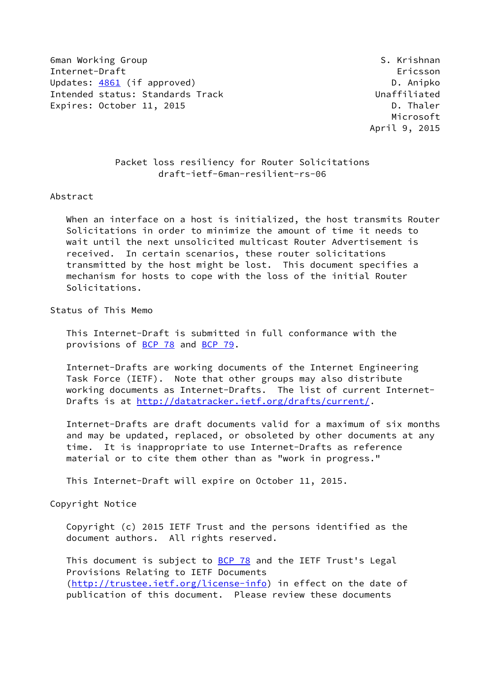6man Working Group States of the Second States of the Second States of S. Krishnan Internet-Draft Ericsson Updates: [4861](https://datatracker.ietf.org/doc/pdf/rfc4861) (if approved) and the control of the D. Anipko Intended status: Standards Track Unaffiliated Expires: October 11, 2015 **D. Thaler** 

 Microsoft April 9, 2015

 Packet loss resiliency for Router Solicitations draft-ietf-6man-resilient-rs-06

### Abstract

 When an interface on a host is initialized, the host transmits Router Solicitations in order to minimize the amount of time it needs to wait until the next unsolicited multicast Router Advertisement is received. In certain scenarios, these router solicitations transmitted by the host might be lost. This document specifies a mechanism for hosts to cope with the loss of the initial Router Solicitations.

Status of This Memo

 This Internet-Draft is submitted in full conformance with the provisions of [BCP 78](https://datatracker.ietf.org/doc/pdf/bcp78) and [BCP 79](https://datatracker.ietf.org/doc/pdf/bcp79).

 Internet-Drafts are working documents of the Internet Engineering Task Force (IETF). Note that other groups may also distribute working documents as Internet-Drafts. The list of current Internet- Drafts is at<http://datatracker.ietf.org/drafts/current/>.

 Internet-Drafts are draft documents valid for a maximum of six months and may be updated, replaced, or obsoleted by other documents at any time. It is inappropriate to use Internet-Drafts as reference material or to cite them other than as "work in progress."

This Internet-Draft will expire on October 11, 2015.

Copyright Notice

 Copyright (c) 2015 IETF Trust and the persons identified as the document authors. All rights reserved.

This document is subject to **[BCP 78](https://datatracker.ietf.org/doc/pdf/bcp78)** and the IETF Trust's Legal Provisions Relating to IETF Documents [\(http://trustee.ietf.org/license-info](http://trustee.ietf.org/license-info)) in effect on the date of publication of this document. Please review these documents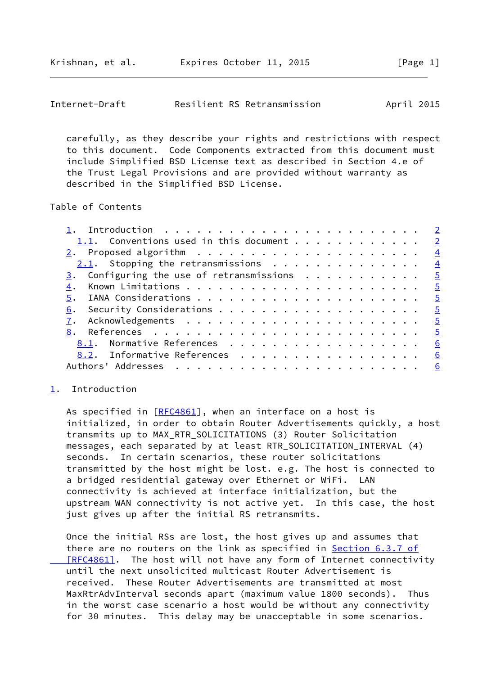<span id="page-1-1"></span>

| Internet-Draft | Resilient RS Retransmission | April 2015 |
|----------------|-----------------------------|------------|
|----------------|-----------------------------|------------|

 carefully, as they describe your rights and restrictions with respect to this document. Code Components extracted from this document must include Simplified BSD License text as described in Section 4.e of the Trust Legal Provisions and are provided without warranty as described in the Simplified BSD License.

Table of Contents

| 1.1. Conventions used in this document 2             |  |
|------------------------------------------------------|--|
|                                                      |  |
| $2.1$ . Stopping the retransmissions 4               |  |
| 3. Configuring the use of retransmissions $\cdots$ 5 |  |
| 4.                                                   |  |
|                                                      |  |
|                                                      |  |
|                                                      |  |
| <u> 8</u> . References <u>5</u>                      |  |
| 8.1. Normative References 6                          |  |
| 8.2. Informative References 6                        |  |
|                                                      |  |
|                                                      |  |

## <span id="page-1-0"></span>[1](#page-1-0). Introduction

As specified in  $[REC4861]$ , when an interface on a host is initialized, in order to obtain Router Advertisements quickly, a host transmits up to MAX\_RTR\_SOLICITATIONS (3) Router Solicitation messages, each separated by at least RTR\_SOLICITATION\_INTERVAL (4) seconds. In certain scenarios, these router solicitations transmitted by the host might be lost. e.g. The host is connected to a bridged residential gateway over Ethernet or WiFi. LAN connectivity is achieved at interface initialization, but the upstream WAN connectivity is not active yet. In this case, the host just gives up after the initial RS retransmits.

 Once the initial RSs are lost, the host gives up and assumes that there are no routers on the link as specified in **Section [6.3.7 of](https://datatracker.ietf.org/doc/pdf/rfc4861#section-6.3.7)**  [\[RFC4861\]](https://datatracker.ietf.org/doc/pdf/rfc4861#section-6.3.7). The host will not have any form of Internet connectivity until the next unsolicited multicast Router Advertisement is received. These Router Advertisements are transmitted at most MaxRtrAdvInterval seconds apart (maximum value 1800 seconds). Thus in the worst case scenario a host would be without any connectivity for 30 minutes. This delay may be unacceptable in some scenarios.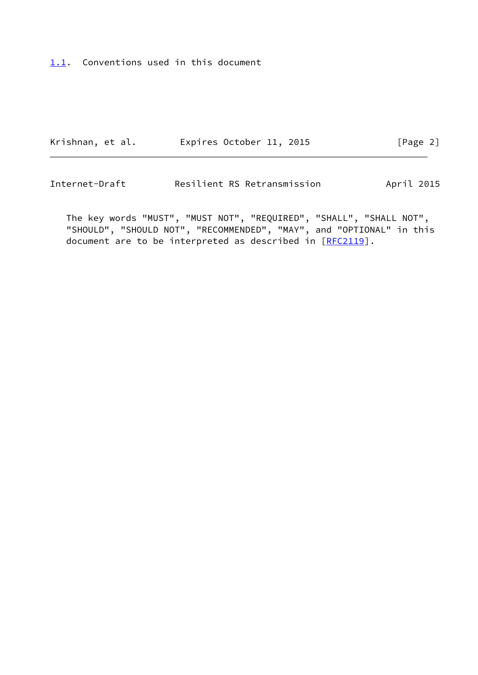# <span id="page-2-0"></span>[1.1](#page-2-0). Conventions used in this document

| Krishnan, et al. | Expires October 11, 2015 |  | [Page 2] |
|------------------|--------------------------|--|----------|
|------------------|--------------------------|--|----------|

Internet-Draft Resilient RS Retransmission April 2015

 The key words "MUST", "MUST NOT", "REQUIRED", "SHALL", "SHALL NOT", "SHOULD", "SHOULD NOT", "RECOMMENDED", "MAY", and "OPTIONAL" in this document are to be interpreted as described in [\[RFC2119](https://datatracker.ietf.org/doc/pdf/rfc2119)].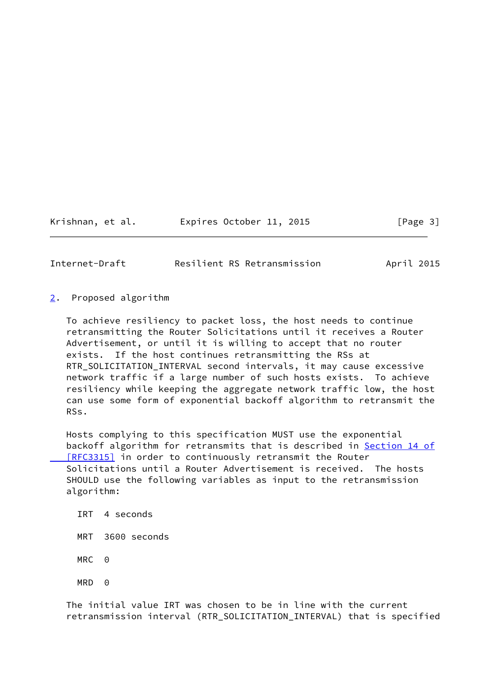Krishnan, et al. Expires October 11, 2015 [Page 3]

<span id="page-3-1"></span>Internet-Draft **Resilient RS Retransmission** April 2015

<span id="page-3-0"></span>[2](#page-3-0). Proposed algorithm

 To achieve resiliency to packet loss, the host needs to continue retransmitting the Router Solicitations until it receives a Router Advertisement, or until it is willing to accept that no router exists. If the host continues retransmitting the RSs at RTR\_SOLICITATION\_INTERVAL second intervals, it may cause excessive network traffic if a large number of such hosts exists. To achieve resiliency while keeping the aggregate network traffic low, the host can use some form of exponential backoff algorithm to retransmit the RSs.

 Hosts complying to this specification MUST use the exponential backoff algorithm for retransmits that is described in [Section](https://datatracker.ietf.org/doc/pdf/rfc3315#section-14) 14 of  [\[RFC3315\]](https://datatracker.ietf.org/doc/pdf/rfc3315#section-14) in order to continuously retransmit the Router Solicitations until a Router Advertisement is received. The hosts SHOULD use the following variables as input to the retransmission algorithm:

- IRT 4 seconds
- MRT 3600 seconds
- MRC 0
- MRD 0

 The initial value IRT was chosen to be in line with the current retransmission interval (RTR\_SOLICITATION\_INTERVAL) that is specified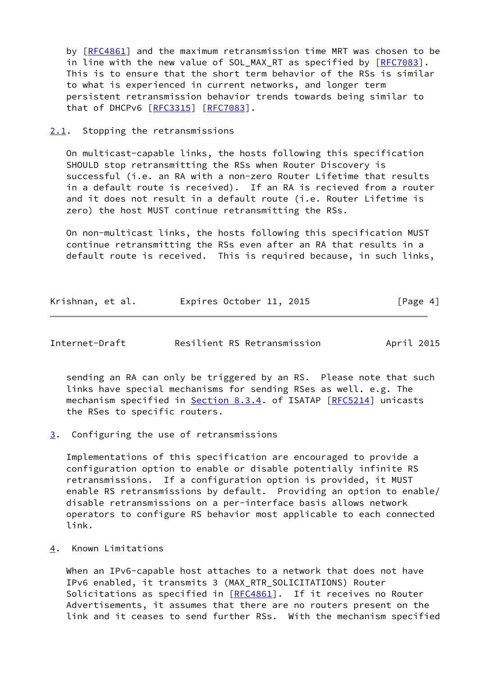by [[RFC4861\]](https://datatracker.ietf.org/doc/pdf/rfc4861) and the maximum retransmission time MRT was chosen to be in line with the new value of SOL\_MAX\_RT as specified by [\[RFC7083](https://datatracker.ietf.org/doc/pdf/rfc7083)]. This is to ensure that the short term behavior of the RSs is similar to what is experienced in current networks, and longer term persistent retransmission behavior trends towards being similar to that of DHCPv6 [\[RFC3315](https://datatracker.ietf.org/doc/pdf/rfc3315)] [\[RFC7083](https://datatracker.ietf.org/doc/pdf/rfc7083)].

#### <span id="page-4-0"></span>[2.1](#page-4-0). Stopping the retransmissions

 On multicast-capable links, the hosts following this specification SHOULD stop retransmitting the RSs when Router Discovery is successful (i.e. an RA with a non-zero Router Lifetime that results in a default route is received). If an RA is recieved from a router and it does not result in a default route (i.e. Router Lifetime is zero) the host MUST continue retransmitting the RSs.

 On non-multicast links, the hosts following this specification MUST continue retransmitting the RSs even after an RA that results in a default route is received. This is required because, in such links,

| Krishnan, et al. | Expires October 11, 2015 |  | [Page 4] |
|------------------|--------------------------|--|----------|
|------------------|--------------------------|--|----------|

<span id="page-4-2"></span>

| Internet-Draft | Resilient RS Retransmission | April 2015 |
|----------------|-----------------------------|------------|
|                |                             |            |

 sending an RA can only be triggered by an RS. Please note that such links have special mechanisms for sending RSes as well. e.g. The mechanism specified in **Section 8.3.4**. of ISATAP [\[RFC5214](https://datatracker.ietf.org/doc/pdf/rfc5214)] unicasts the RSes to specific routers.

<span id="page-4-1"></span>[3](#page-4-1). Configuring the use of retransmissions

 Implementations of this specification are encouraged to provide a configuration option to enable or disable potentially infinite RS retransmissions. If a configuration option is provided, it MUST enable RS retransmissions by default. Providing an option to enable/ disable retransmissions on a per-interface basis allows network operators to configure RS behavior most applicable to each connected link.

<span id="page-4-3"></span>[4](#page-4-3). Known Limitations

When an IPv6-capable host attaches to a network that does not have IPv6 enabled, it transmits 3 (MAX\_RTR\_SOLICITATIONS) Router Solicitations as specified in [[RFC4861](https://datatracker.ietf.org/doc/pdf/rfc4861)]. If it receives no Router Advertisements, it assumes that there are no routers present on the link and it ceases to send further RSs. With the mechanism specified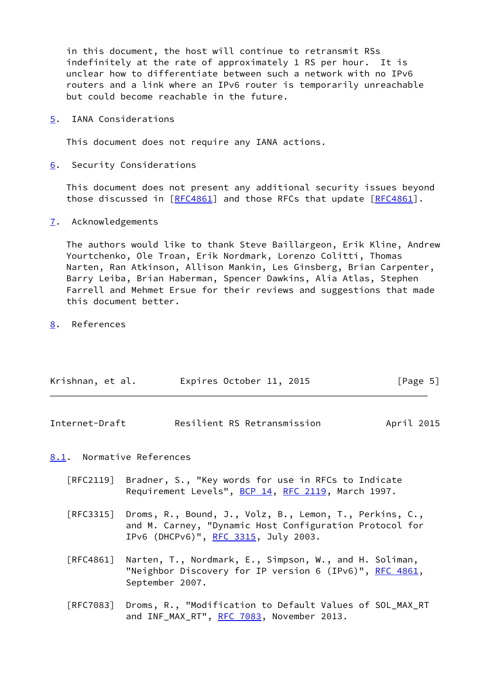in this document, the host will continue to retransmit RSs indefinitely at the rate of approximately 1 RS per hour. It is unclear how to differentiate between such a network with no IPv6 routers and a link where an IPv6 router is temporarily unreachable but could become reachable in the future.

<span id="page-5-0"></span>[5](#page-5-0). IANA Considerations

This document does not require any IANA actions.

<span id="page-5-1"></span>[6](#page-5-1). Security Considerations

 This document does not present any additional security issues beyond those discussed in [[RFC4861\]](https://datatracker.ietf.org/doc/pdf/rfc4861) and those RFCs that update [\[RFC4861](https://datatracker.ietf.org/doc/pdf/rfc4861)].

<span id="page-5-2"></span>[7](#page-5-2). Acknowledgements

 The authors would like to thank Steve Baillargeon, Erik Kline, Andrew Yourtchenko, Ole Troan, Erik Nordmark, Lorenzo Colitti, Thomas Narten, Ran Atkinson, Allison Mankin, Les Ginsberg, Brian Carpenter, Barry Leiba, Brian Haberman, Spencer Dawkins, Alia Atlas, Stephen Farrell and Mehmet Ersue for their reviews and suggestions that made this document better.

<span id="page-5-3"></span>[8](#page-5-3). References

| Krishnan, et al. | Expires October 11, 2015 | [Page 5] |
|------------------|--------------------------|----------|
|------------------|--------------------------|----------|

<span id="page-5-5"></span>

| Internet-Draft |  | Resilient RS Retransmission | April 2015 |
|----------------|--|-----------------------------|------------|
|----------------|--|-----------------------------|------------|

<span id="page-5-4"></span>[8.1](#page-5-4). Normative References

- [RFC2119] Bradner, S., "Key words for use in RFCs to Indicate Requirement Levels", [BCP 14](https://datatracker.ietf.org/doc/pdf/bcp14), [RFC 2119](https://datatracker.ietf.org/doc/pdf/rfc2119), March 1997.
- [RFC3315] Droms, R., Bound, J., Volz, B., Lemon, T., Perkins, C., and M. Carney, "Dynamic Host Configuration Protocol for IPv6 (DHCPv6)", [RFC 3315,](https://datatracker.ietf.org/doc/pdf/rfc3315) July 2003.
- [RFC4861] Narten, T., Nordmark, E., Simpson, W., and H. Soliman, "Neighbor Discovery for IP version 6 (IPv6)", [RFC 4861](https://datatracker.ietf.org/doc/pdf/rfc4861), September 2007.
- [RFC7083] Droms, R., "Modification to Default Values of SOL\_MAX\_RT and INF\_MAX\_RT", [RFC 7083,](https://datatracker.ietf.org/doc/pdf/rfc7083) November 2013.